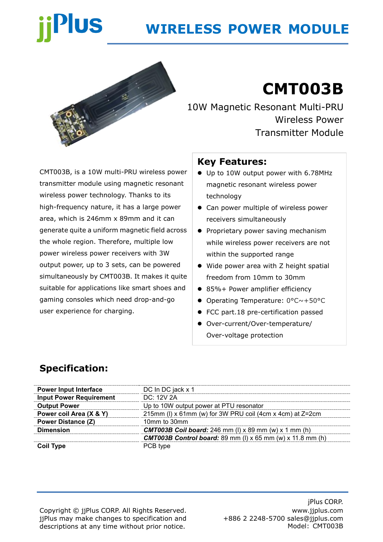# **Plus**

# **WIRELESS POWER MODULE**



# **CMT003B**

10W Magnetic Resonant Multi-PRU Wireless Power Transmitter Module

CMT003B, is a 10W multi-PRU wireless power transmitter module using magnetic resonant wireless power technology. Thanks to its high-frequency nature, it has a large power area, which is 246mm x 89mm and it can generate quite a uniform magnetic field across the whole region. Therefore, multiple low power wireless power receivers with 3W output power, up to 3 sets, can be powered simultaneously by CMT003B. It makes it quite suitable for applications like smart shoes and gaming consoles which need drop-and-go user experience for charging.

### **Key Features:**

- ⚫ Up to 10W output power with 6.78MHz magnetic resonant wireless power technology
- Can power multiple of wireless power receivers simultaneously
- Proprietary power saving mechanism while wireless power receivers are not within the supported range
- ⚫ Wide power area with Z height spatial freedom from 10mm to 30mm
- 85%+ Power amplifier efficiency
- Operating Temperature: 0°C~+50°C
- FCC part.18 pre-certification passed
- ⚫ Over-current/Over-temperature/ Over-voltage protection

## **Specification:**

| <b>Power Input Interface</b>   | DC In DC jack x 1                                                     |  |  |
|--------------------------------|-----------------------------------------------------------------------|--|--|
| <b>Input Power Requirement</b> | DC: 12V 2A                                                            |  |  |
| <b>Output Power</b>            | Up to 10W output power at PTU resonator                               |  |  |
| Power coil Area (X & Y)        | 215mm (I) x 61mm (w) for 3W PRU coil (4cm x 4cm) at Z=2cm             |  |  |
| <b>Power Distance (Z)</b>      | 10mm to 30mm                                                          |  |  |
| <b>Dimension</b>               | <b>CMT003B Coil board:</b> 246 mm (I) x 89 mm (w) x 1 mm (h)          |  |  |
|                                | <b>CMT003B Control board:</b> 89 mm (I) $x$ 65 mm (w) $x$ 11.8 mm (h) |  |  |
| <b>Coil Type</b>               | PCB type                                                              |  |  |

Copyright © jjPlus CORP. All Rights Reserved. jjPlus may make changes to specification and descriptions at any time without prior notice.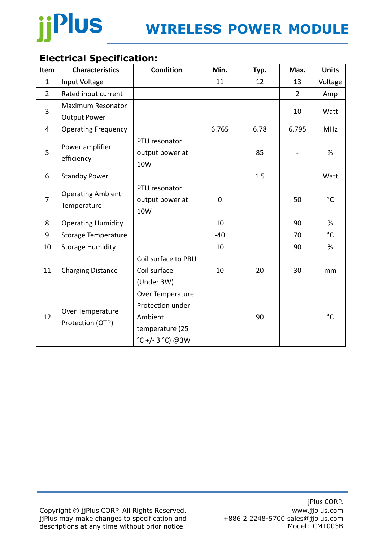

## **Electrical Specification:**

| Item           | <b>Characteristics</b>                   | <b>Condition</b>                                                                      | Min.  | Typ. | Max.           | <b>Units</b>    |
|----------------|------------------------------------------|---------------------------------------------------------------------------------------|-------|------|----------------|-----------------|
| $\mathbf 1$    | Input Voltage                            |                                                                                       | 11    | 12   | 13             | Voltage         |
| $\overline{2}$ | Rated input current                      |                                                                                       |       |      | $\overline{2}$ | Amp             |
| 3              | Maximum Resonator<br><b>Output Power</b> |                                                                                       |       |      | 10             | Watt            |
| 4              | <b>Operating Frequency</b>               |                                                                                       | 6.765 | 6.78 | 6.795          | <b>MHz</b>      |
| 5              | Power amplifier<br>efficiency            | PTU resonator<br>output power at<br>10W                                               |       | 85   |                | %               |
| 6              | <b>Standby Power</b>                     |                                                                                       |       | 1.5  |                | Watt            |
| $\overline{7}$ | <b>Operating Ambient</b><br>Temperature  | PTU resonator<br>output power at<br>10W                                               | 0     |      | 50             | $^{\circ}$ C    |
| 8              | <b>Operating Humidity</b>                |                                                                                       | 10    |      | 90             | %               |
| 9              | <b>Storage Temperature</b>               |                                                                                       | $-40$ |      | 70             | $\rm ^{\circ}C$ |
| 10             | <b>Storage Humidity</b>                  |                                                                                       | 10    |      | 90             | %               |
| 11             | <b>Charging Distance</b>                 | Coil surface to PRU<br>Coil surface<br>(Under 3W)                                     | 10    | 20   | 30             | mm              |
| 12             | Over Temperature<br>Protection (OTP)     | Over Temperature<br>Protection under<br>Ambient<br>temperature (25<br>°C +/-3 °C) @3W |       | 90   |                | $^{\circ}$ C    |

Copyright © jjPlus CORP. All Rights Reserved. jjPlus may make changes to specification and descriptions at any time without prior notice.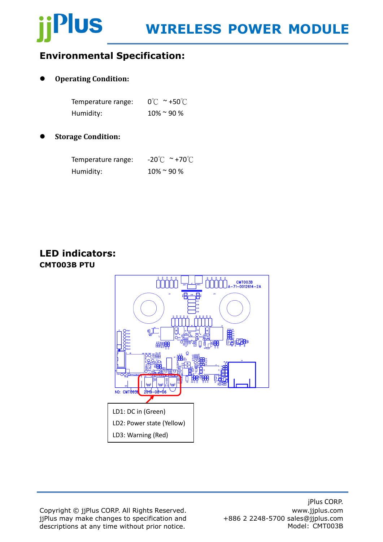# **Plus**

## **Environmental Specification:**

#### ⚫ **Operating Condition:**

| Temperature range: | $0^{\circ}$ $\sim$ +50 $^{\circ}$ $\sim$ |
|--------------------|------------------------------------------|
| Humidity:          | $10\%$ ~ 90 %                            |

#### ⚫ **Storage Condition:**

| Temperature range: | $-20^{\circ}$ C ~ +70 $^{\circ}$ C |
|--------------------|------------------------------------|
| Humidity:          | $10\%$ ~ 90 %                      |

### **LED indicators: CMT003B PTU**



Copyright © jjPlus CORP. All Rights Reserved. jjPlus may make changes to specification and descriptions at any time without prior notice.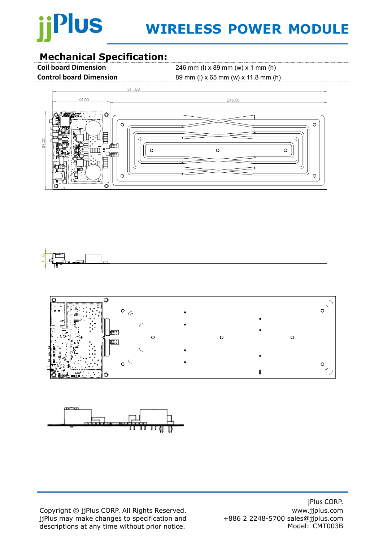# Plus

# **WIRELESS POWER MODULE**

### **Mechanical Specification:**

**Coil board Dimension** 246 mm (l) x 89 mm (w) x 1 mm (h)

**Control board Dimension** 89 mm (l) x 65 mm (w) x 11.8 mm (h)









Copyright © jjPlus CORP. All Rights Reserved. jjPlus may make changes to specification and descriptions at any time without prior notice.

jPlus CORP. www.jjplus.com +886 2 2248-5700 sales@jjplus.com Model: CMT003B